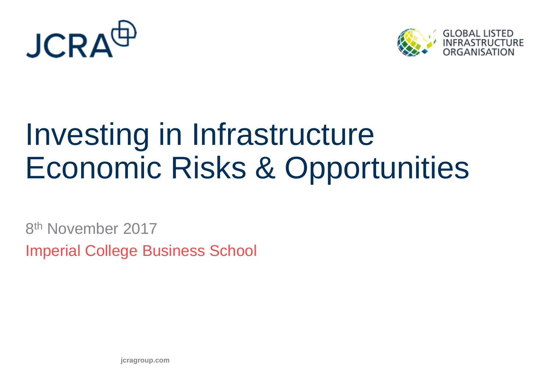



# Investing in Infrastructure Economic Risks & Opportunities

8<sup>th</sup> November 2017 Imperial College Business School

**jcragroup.com**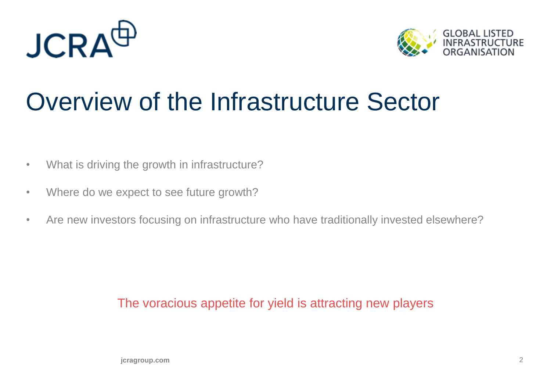



### Overview of the Infrastructure Sector

- What is driving the growth in infrastructure?
- Where do we expect to see future growth?
- Are new investors focusing on infrastructure who have traditionally invested elsewhere?

### The voracious appetite for yield is attracting new players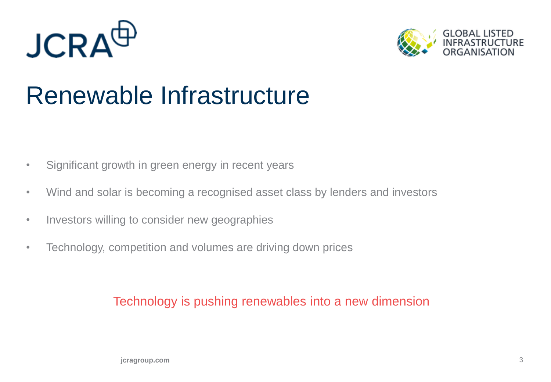



### Renewable Infrastructure

- Significant growth in green energy in recent years
- Wind and solar is becoming a recognised asset class by lenders and investors
- Investors willing to consider new geographies
- Technology, competition and volumes are driving down prices

#### Technology is pushing renewables into a new dimension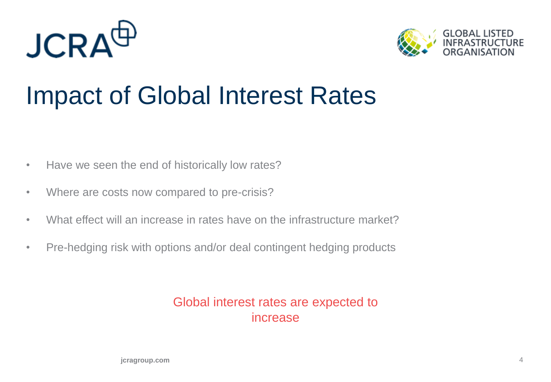



### Impact of Global Interest Rates

- Have we seen the end of historically low rates?
- Where are costs now compared to pre-crisis?
- What effect will an increase in rates have on the infrastructure market?
- Pre-hedging risk with options and/or deal contingent hedging products

#### Global interest rates are expected to increase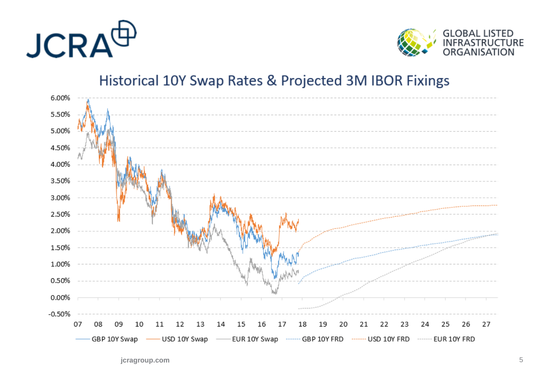



### Historical 10Y Swap Rates & Projected 3M IBOR Fixings



**jcragroup.com** 5